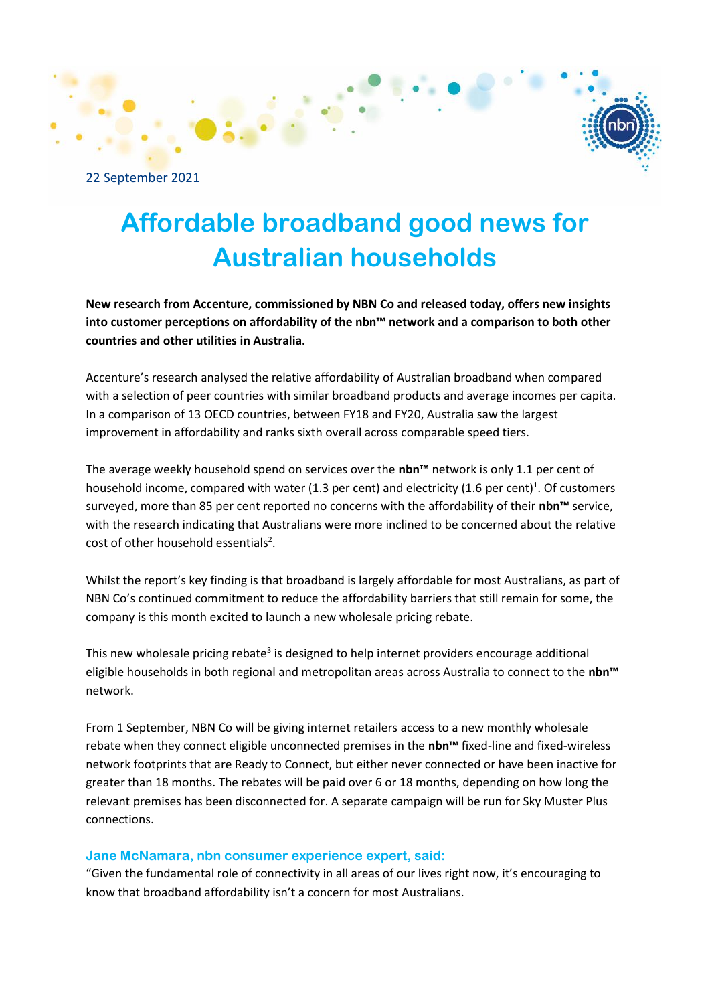

22 September 2021

# **Affordable broadband good news for Australian households**

**New research from Accenture, commissioned by NBN Co and released today, offers new insights into customer perceptions on affordability of the nbn™ network and a comparison to both other countries and other utilities in Australia.** 

Accenture's research analysed the relative affordability of Australian broadband when compared with a selection of peer countries with similar broadband products and average incomes per capita. In a comparison of 13 OECD countries, between FY18 and FY20, Australia saw the largest improvement in affordability and ranks sixth overall across comparable speed tiers.

The average weekly household spend on services over the **nbn™** network is only 1.1 per cent of household income, compared with water (1.3 per cent) and electricity (1.6 per cent)<sup>1</sup>. Of customers surveyed, more than 85 per cent reported no concerns with the affordability of their **nbn™** service, with the research indicating that Australians were more inclined to be concerned about the relative cost of other household essentials<sup>2</sup>.

Whilst the report's key finding is that broadband is largely affordable for most Australians, as part of NBN Co's continued commitment to reduce the affordability barriers that still remain for some, the company is this month excited to launch a new wholesale pricing rebate.

This new wholesale pricing rebate<sup>3</sup> is designed to help internet providers encourage additional eligible households in both regional and metropolitan areas across Australia to connect to the **nbn™** network.

From 1 September, NBN Co will be giving internet retailers access to a new monthly wholesale rebate when they connect eligible unconnected premises in the **nbn™** fixed-line and fixed-wireless network footprints that are Ready to Connect, but either never connected or have been inactive for greater than 18 months. The rebates will be paid over 6 or 18 months, depending on how long the relevant premises has been disconnected for. A separate campaign will be run for Sky Muster Plus connections.

# **Jane McNamara, nbn consumer experience expert, said:**

"Given the fundamental role of connectivity in all areas of our lives right now, it's encouraging to know that broadband affordability isn't a concern for most Australians.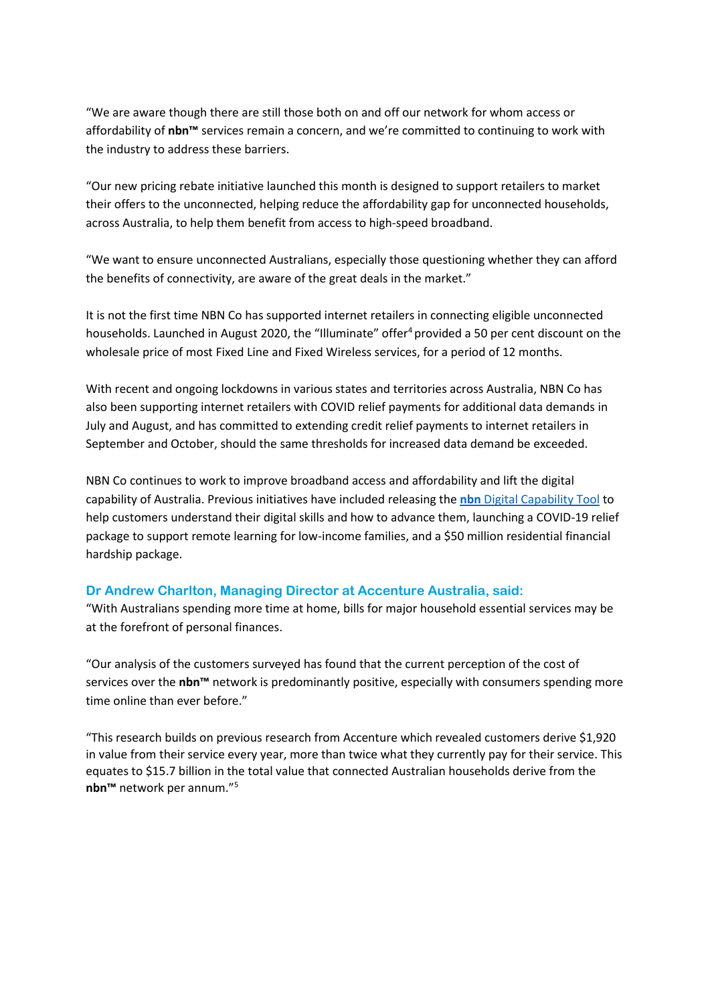"We are aware though there are still those both on and off our network for whom access or affordability of **nbn™** services remain a concern, and we're committed to continuing to work with the industry to address these barriers.

"Our new pricing rebate initiative launched this month is designed to support retailers to market their offers to the unconnected, helping reduce the affordability gap for unconnected households, across Australia, to help them benefit from access to high-speed broadband.

"We want to ensure unconnected Australians, especially those questioning whether they can afford the benefits of connectivity, are aware of the great deals in the market."

It is not the first time NBN Co has supported internet retailers in connecting eligible unconnected households. Launched in August 2020, the "Illuminate" offer<sup>4</sup> provided a 50 per cent discount on the wholesale price of most Fixed Line and Fixed Wireless services, for a period of 12 months.

With recent and ongoing lockdowns in various states and territories across Australia, NBN Co has also been supporting internet retailers with COVID relief payments for additional data demands in July and August, and has committed to extending credit relief payments to internet retailers in September and October, should the same thresholds for increased data demand be exceeded.

NBN Co continues to work to improve broadband access and affordability and lift the digital capability of Australia. Previous initiatives have included releasing the **nbn** [Digital Capability Tool](https://surveyv8.humanlistening.com/survey/08578e09-5cc0-44ff-915d-72fad9e2b848/0/d00c9f80-4b0c-45f8-96be-9739328960a8?resetsession=true) to help customers understand their digital skills and how to advance them, launching a COVID-19 relief package to support remote learning for low-income families, and a \$50 million residential financial hardship package.

# **Dr Andrew Charlton, Managing Director at Accenture Australia, said:**

"With Australians spending more time at home, bills for major household essential services may be at the forefront of personal finances.

"Our analysis of the customers surveyed has found that the current perception of the cost of services over the **nbn™** network is predominantly positive, especially with consumers spending more time online than ever before."

"This research builds on previous research from Accenture which revealed customers derive \$1,920 in value from their service every year, more than twice what they currently pay for their service. This equates to \$15.7 billion in the total value that connected Australian households derive from the **nbn™** network per annum."5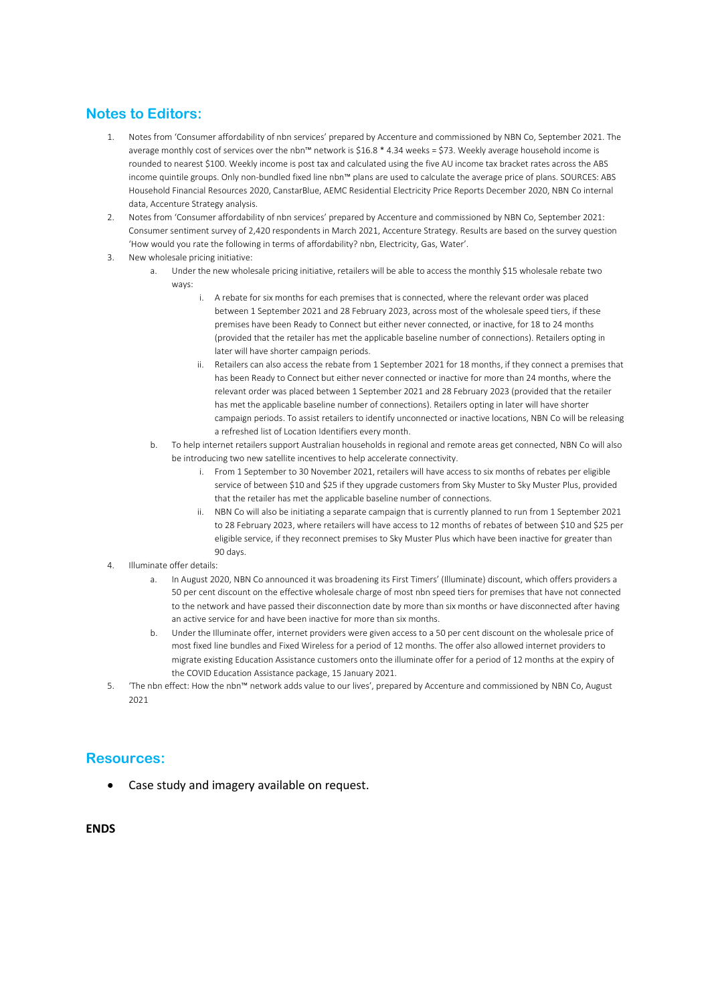# **Notes to Editors:**

- 1. Notes from 'Consumer affordability of nbn services' prepared by Accenture and commissioned by NBN Co, September 2021. The average monthly cost of services over the nbn™ network is \$16.8 \* 4.34 weeks = \$73. Weekly average household income is rounded to nearest \$100. Weekly income is post tax and calculated using the five AU income tax bracket rates across the ABS income quintile groups. Only non-bundled fixed line nbn™ plans are used to calculate the average price of plans. SOURCES: ABS Household Financial Resources 2020, CanstarBlue, AEMC Residential Electricity Price Reports December 2020, NBN Co internal data, Accenture Strategy analysis.
- 2. Notes from 'Consumer affordability of nbn services' prepared by Accenture and commissioned by NBN Co, September 2021: Consumer sentiment survey of 2,420 respondents in March 2021, Accenture Strategy. Results are based on the survey question 'How would you rate the following in terms of affordability? nbn, Electricity, Gas, Water'.
- 3. New wholesale pricing initiative:
	- a. Under the new wholesale pricing initiative, retailers will be able to access the monthly \$15 wholesale rebate two ways:
		- i. A rebate for six months for each premises that is connected, where the relevant order was placed between 1 September 2021 and 28 February 2023, across most of the wholesale speed tiers, if these premises have been Ready to Connect but either never connected, or inactive, for 18 to 24 months (provided that the retailer has met the applicable baseline number of connections). Retailers opting in later will have shorter campaign periods.
		- ii. Retailers can also access the rebate from 1 September 2021 for 18 months, if they connect a premises that has been Ready to Connect but either never connected or inactive for more than 24 months, where the relevant order was placed between 1 September 2021 and 28 February 2023 (provided that the retailer has met the applicable baseline number of connections). Retailers opting in later will have shorter campaign periods. To assist retailers to identify unconnected or inactive locations, NBN Co will be releasing a refreshed list of Location Identifiers every month.
	- b. To help internet retailers support Australian households in regional and remote areas get connected, NBN Co will also be introducing two new satellite incentives to help accelerate connectivity.
		- i. From 1 September to 30 November 2021, retailers will have access to six months of rebates per eligible service of between \$10 and \$25 if they upgrade customers from Sky Muster to Sky Muster Plus, provided that the retailer has met the applicable baseline number of connections.
		- ii. NBN Co will also be initiating a separate campaign that is currently planned to run from 1 September 2021 to 28 February 2023, where retailers will have access to 12 months of rebates of between \$10 and \$25 per eligible service, if they reconnect premises to Sky Muster Plus which have been inactive for greater than 90 days.
- 4. Illuminate offer details:
	- a. In August 2020, NBN Co announced it was broadening its First Timers' (Illuminate) discount, which offers providers a 50 per cent discount on the effective wholesale charge of most nbn speed tiers for premises that have not connected to the network and have passed their disconnection date by more than six months or have disconnected after having an active service for and have been inactive for more than six months.
	- Under the Illuminate offer, internet providers were given access to a 50 per cent discount on the wholesale price of most fixed line bundles and Fixed Wireless for a period of 12 months. The offer also allowed internet providers to migrate existing Education Assistance customers onto the illuminate offer for a period of 12 months at the expiry of the COVID Education Assistance package, 15 January 2021.
- 5. 'The nbn effect: How the nbn™ network adds value to our lives', prepared by Accenture and commissioned by NBN Co, August 2021

# **Resources:**

• Case study and imagery available on request.

#### **ENDS**